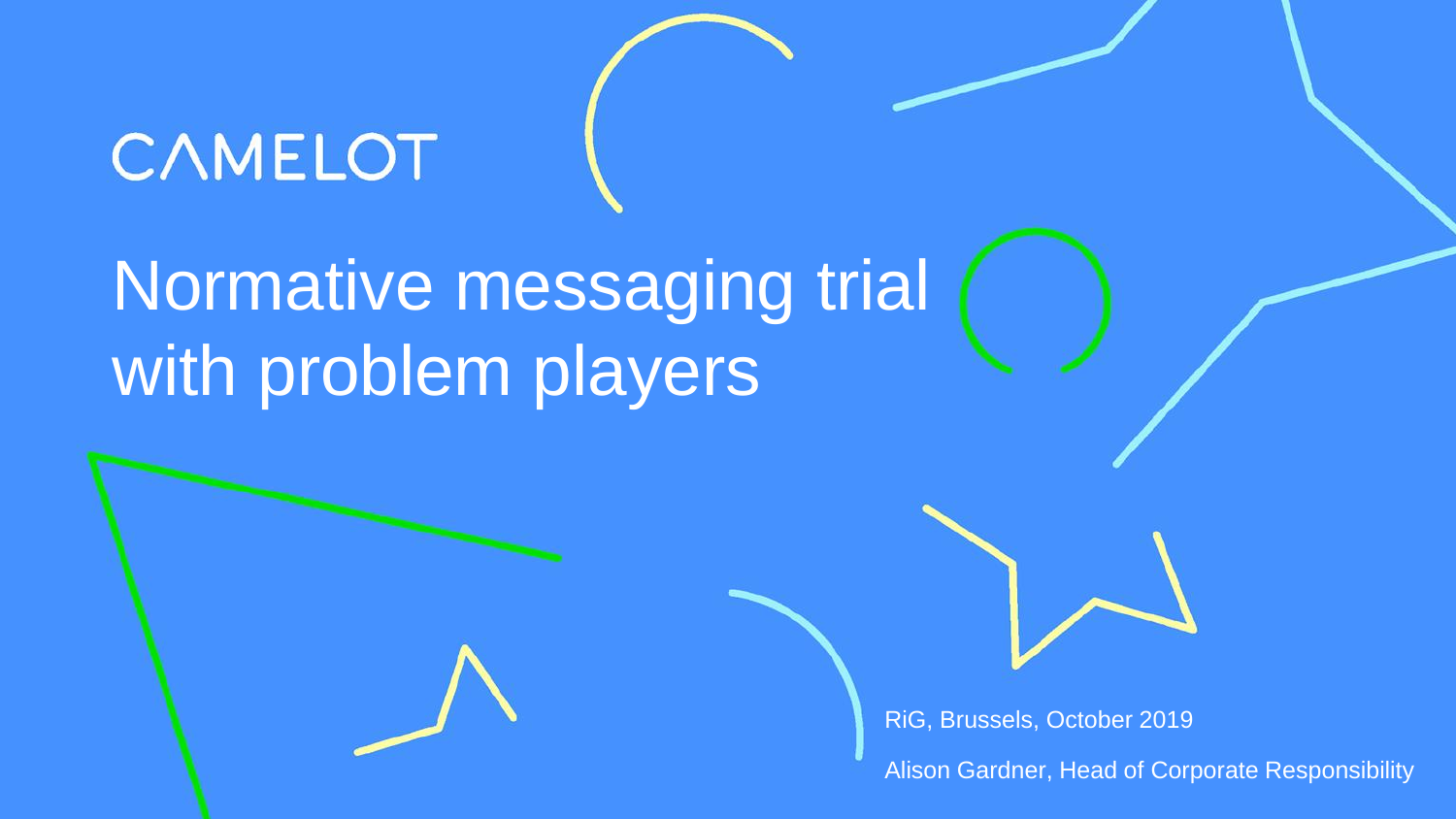# **CAMELOT**

# Normative messaging trial with problem players



RiG, Brussels, October 2019

Alison Gardner, Head of Corporate Responsibility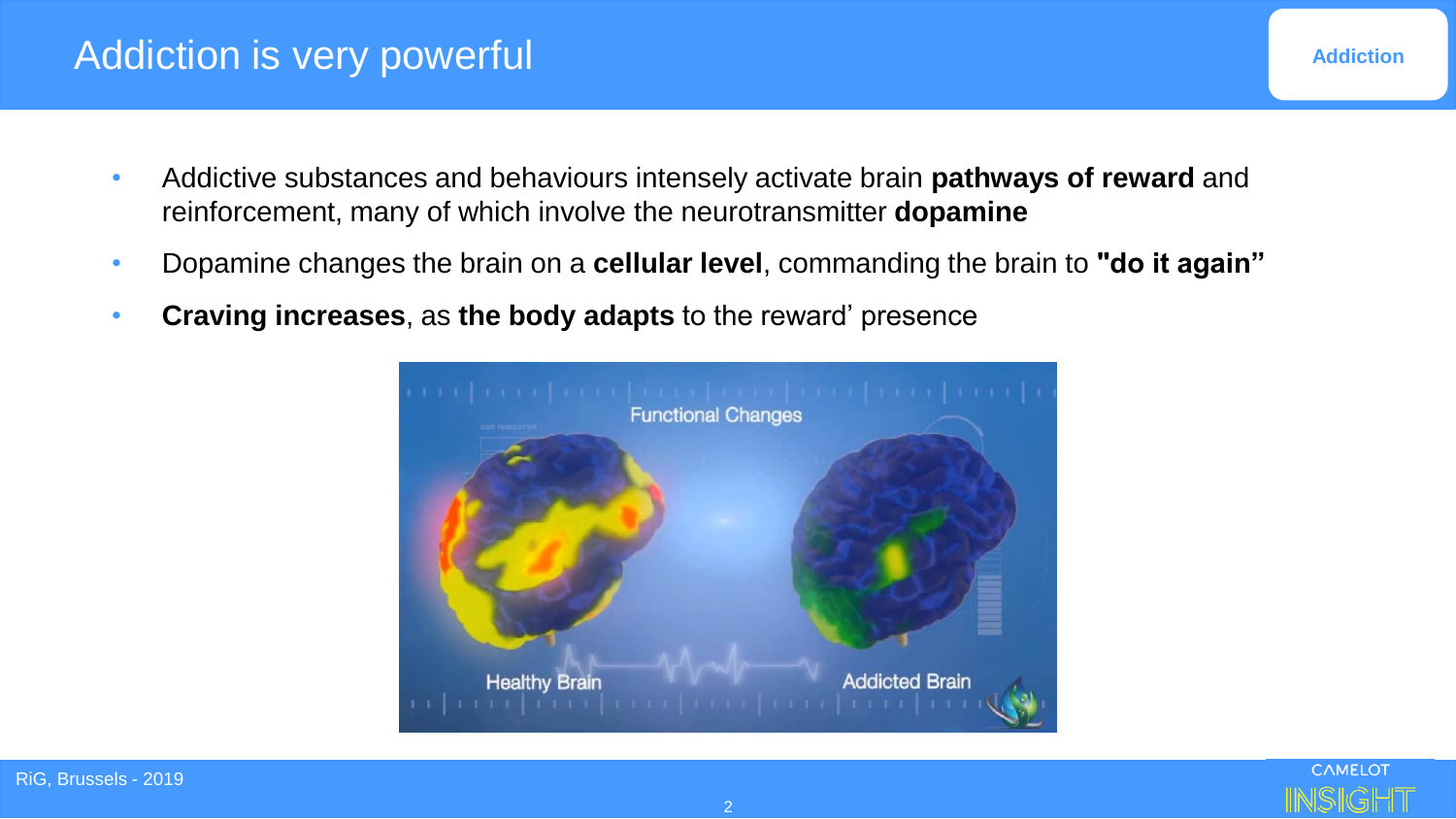#### Addiction is very powerful

- Addictive substances and behaviours intensely activate brain **pathways of reward** and reinforcement, many of which involve the neurotransmitter **dopamine**
- Dopamine changes the brain on a **cellular level**, commanding the brain to **"do it again"**
- **Craving increases**, as **the body adapts** to the reward' presence

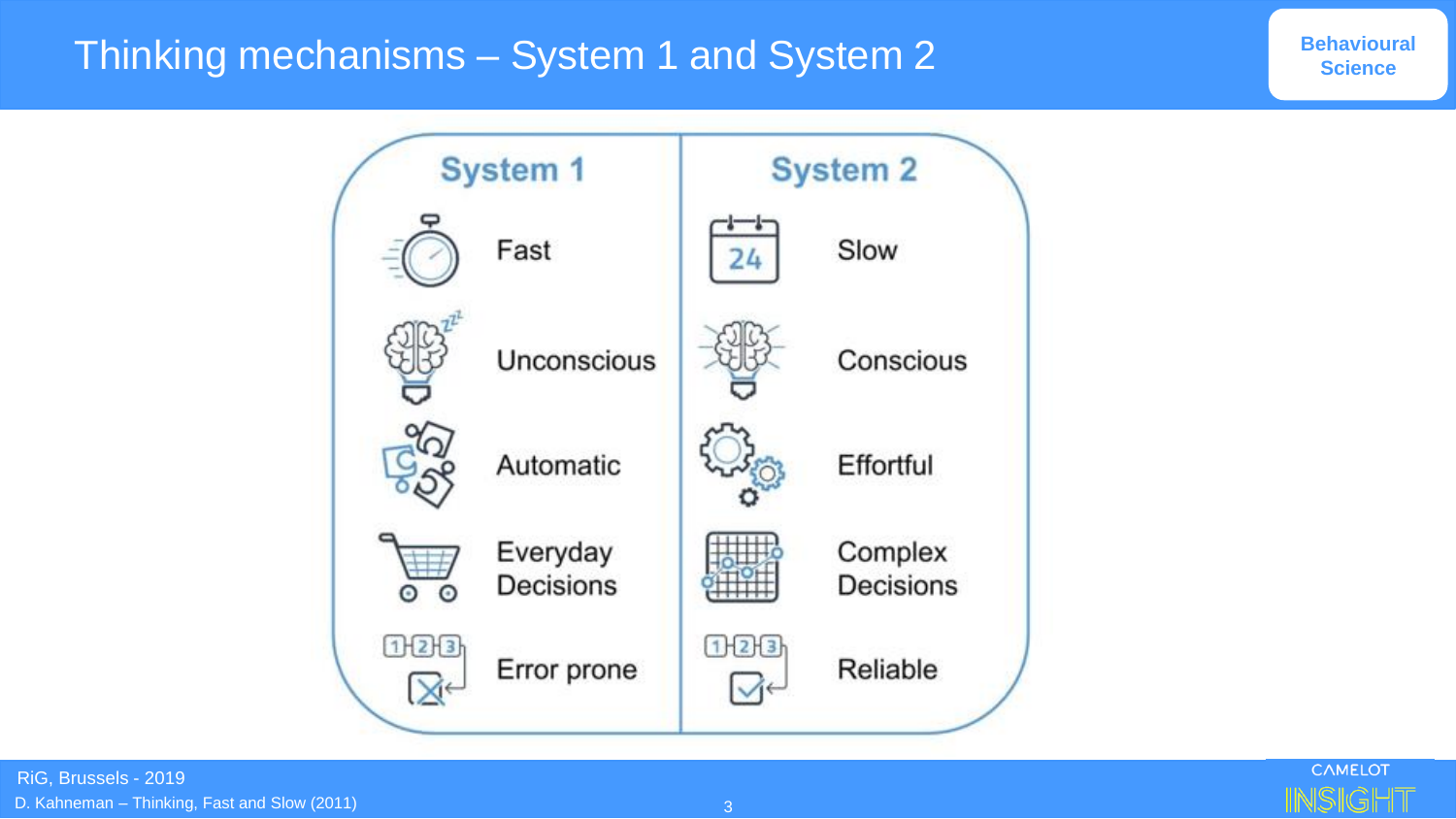### Thinking mechanisms – System 1 and System 2



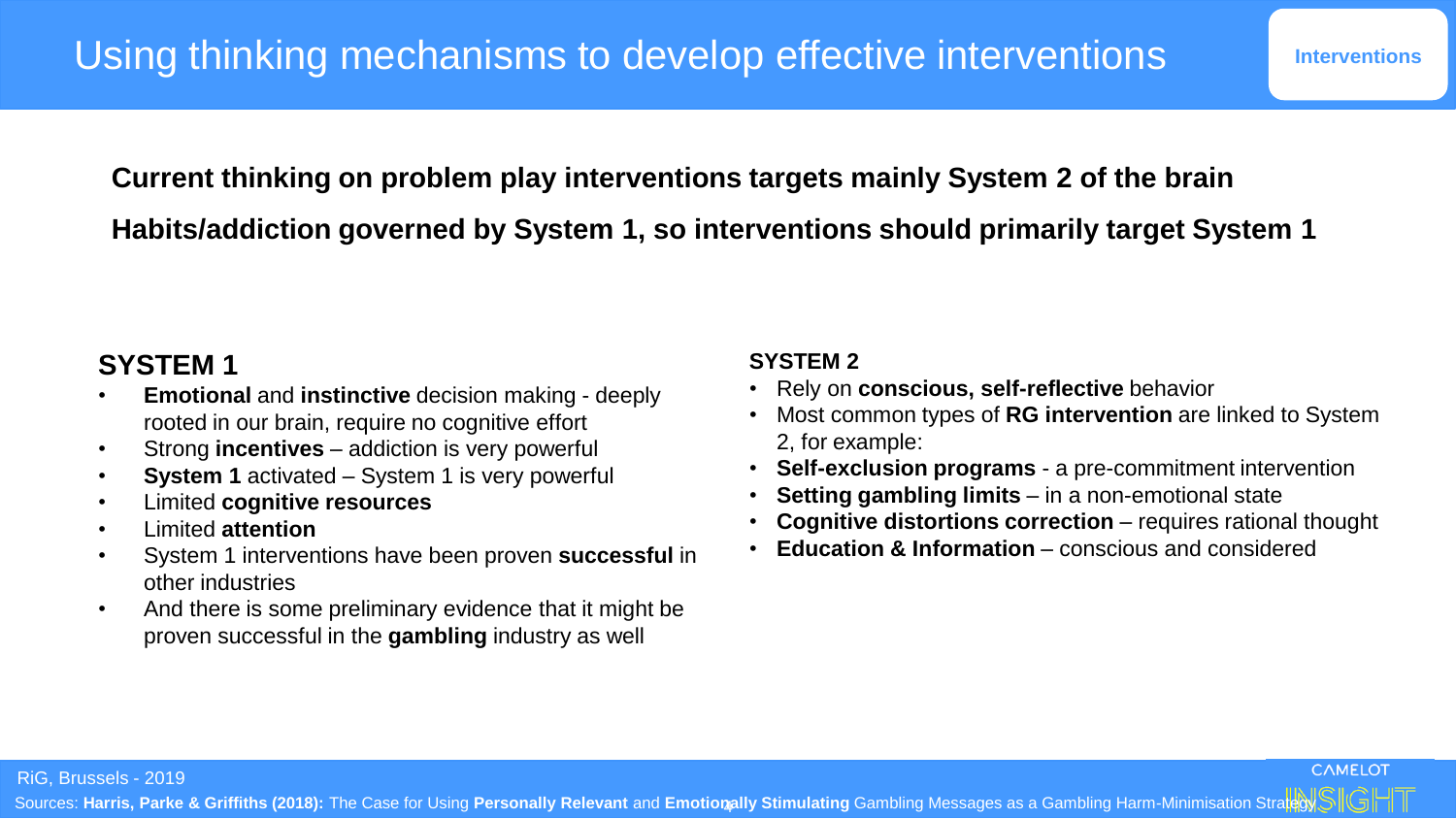**Current thinking on problem play interventions targets mainly System 2 of the brain Habits/addiction governed by System 1, so interventions should primarily target System 1**

#### **SYSTEM 1**

- **Emotional** and **instinctive** decision making deeply rooted in our brain, require no cognitive effort
- Strong **incentives**  addiction is very powerful
- **System 1** activated System 1 is very powerful
- Limited **cognitive resources**
- Limited **attention**
- System 1 interventions have been proven **successful** in other industries
- And there is some preliminary evidence that it might be proven successful in the **gambling** industry as well

#### **SYSTEM 2**

- Rely on **conscious, self-reflective** behavior
- Most common types of **RG intervention** are linked to System 2, for example:
- **Self-exclusion programs** a pre-commitment intervention
- **Setting gambling limits** in a non-emotional state
- **Cognitive distortions correction** requires rational thought
- **Education & Information**  conscious and considered

RiG, Brussels - 2019

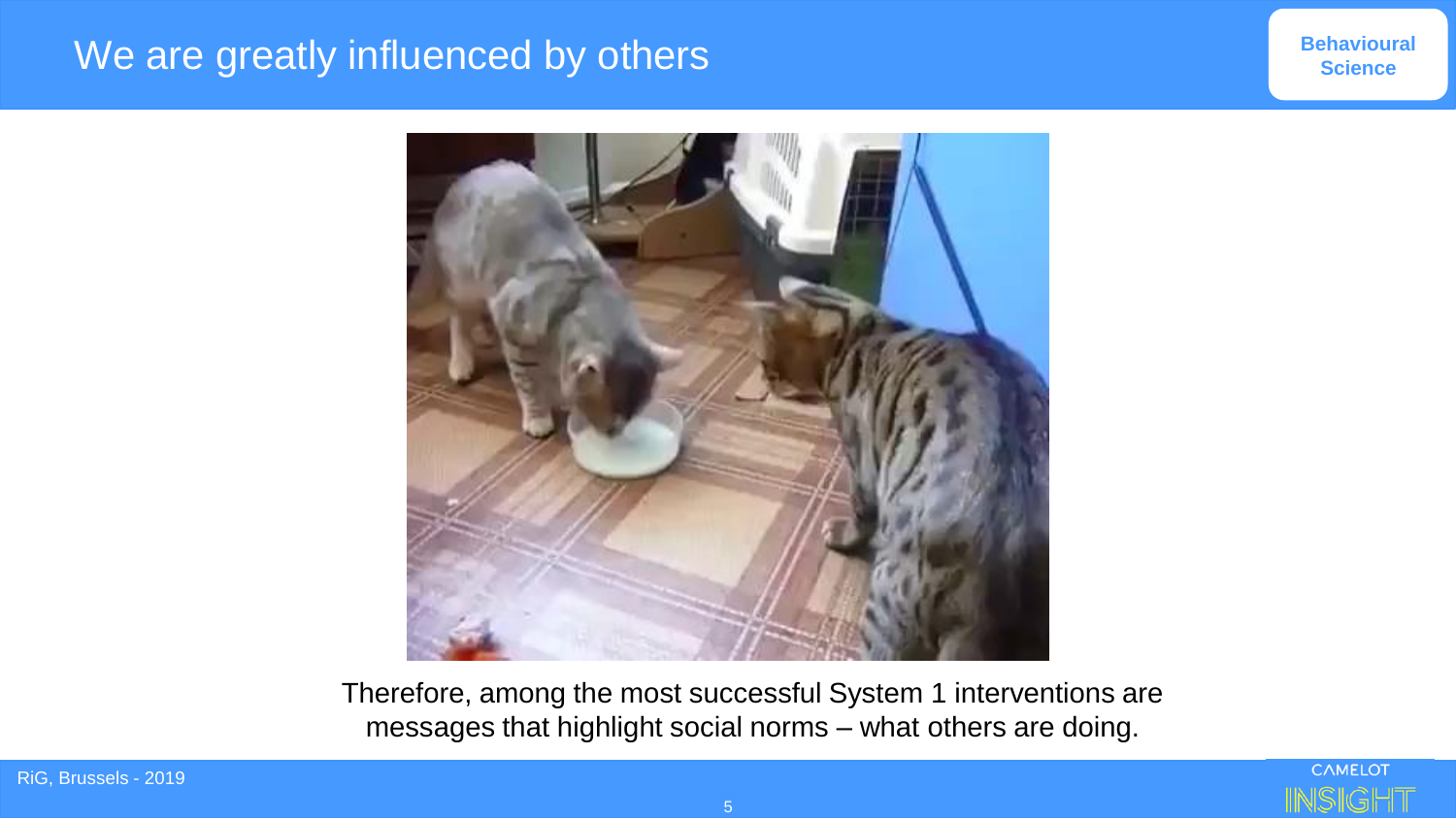#### We are greatly influenced by others



Therefore, among the most successful System 1 interventions are messages that highlight social norms – what others are doing.

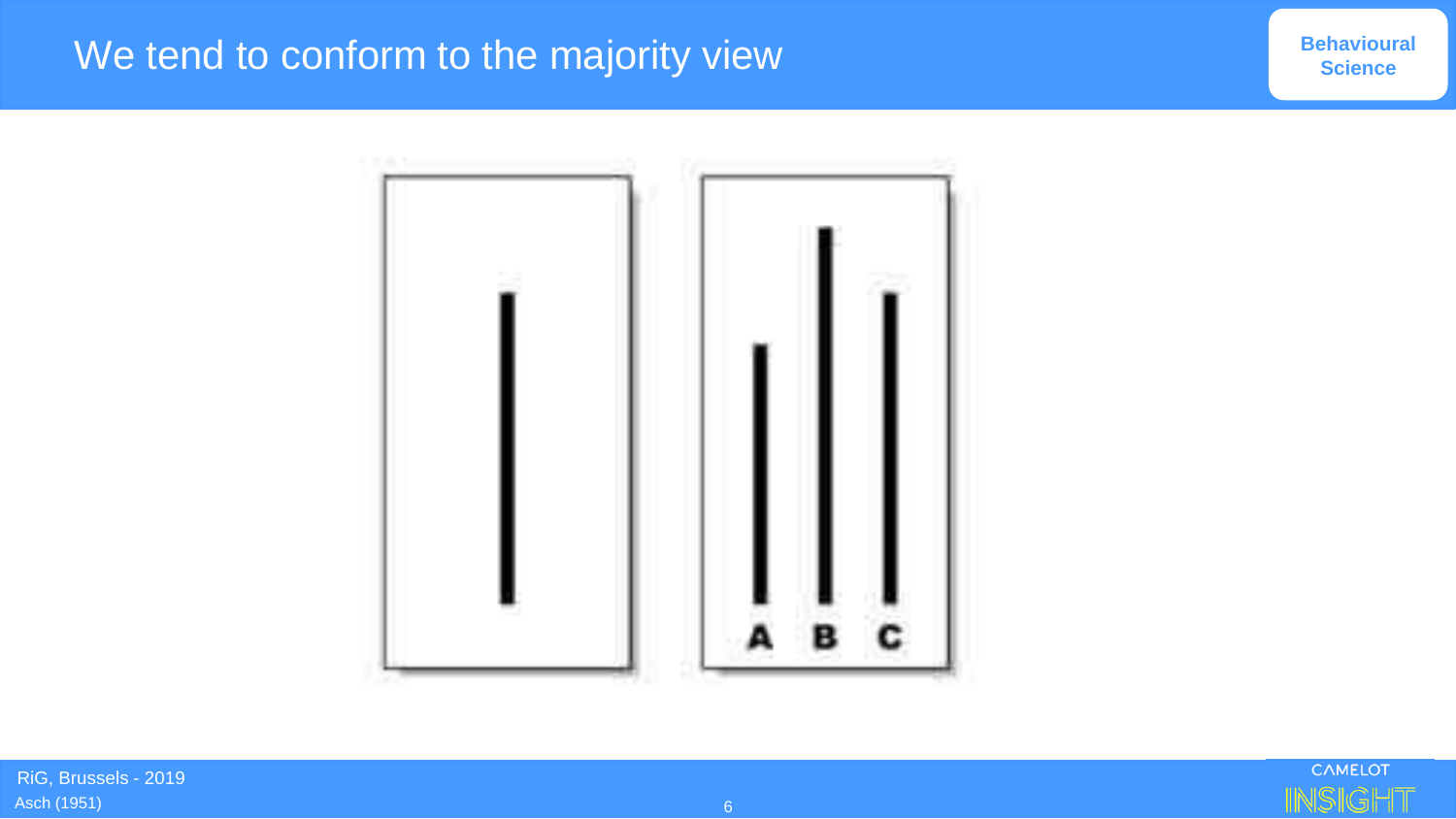## We tend to conform to the majority view



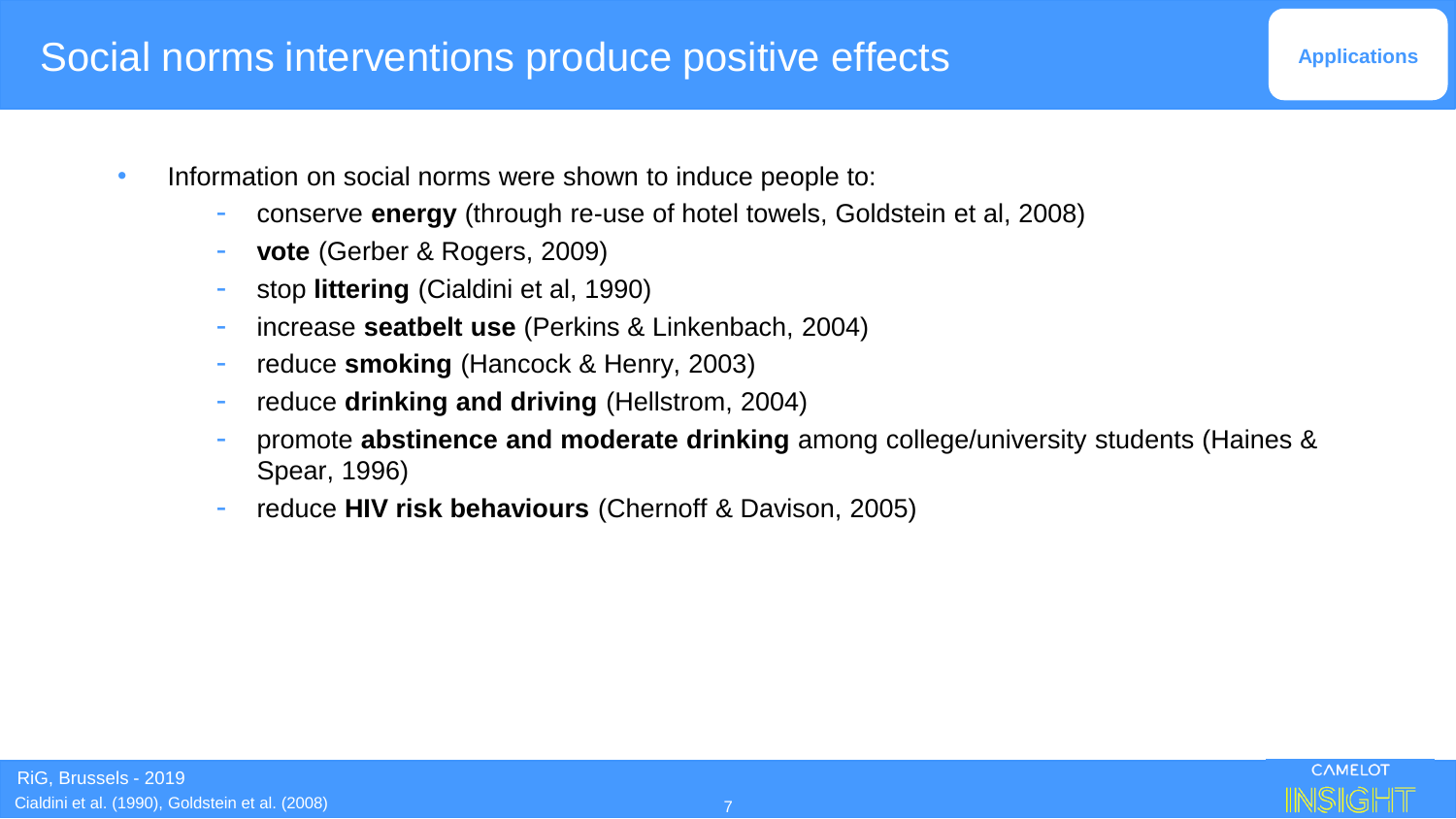#### Social norms interventions produce positive effects

- Information on social norms were shown to induce people to:
	- conserve **energy** (through re-use of hotel towels, Goldstein et al, 2008)
	- vote (Gerber & Rogers, 2009)
	- stop **littering** (Cialdini et al, 1990)
	- increase **seatbelt use** (Perkins & Linkenbach, 2004)
	- reduce **smoking** (Hancock & Henry, 2003)
	- reduce **drinking and driving** (Hellstrom, 2004)
	- promote **abstinence and moderate drinking** among college/university students (Haines & Spear, 1996)
	- reduce **HIV risk behaviours** (Chernoff & Davison, 2005)

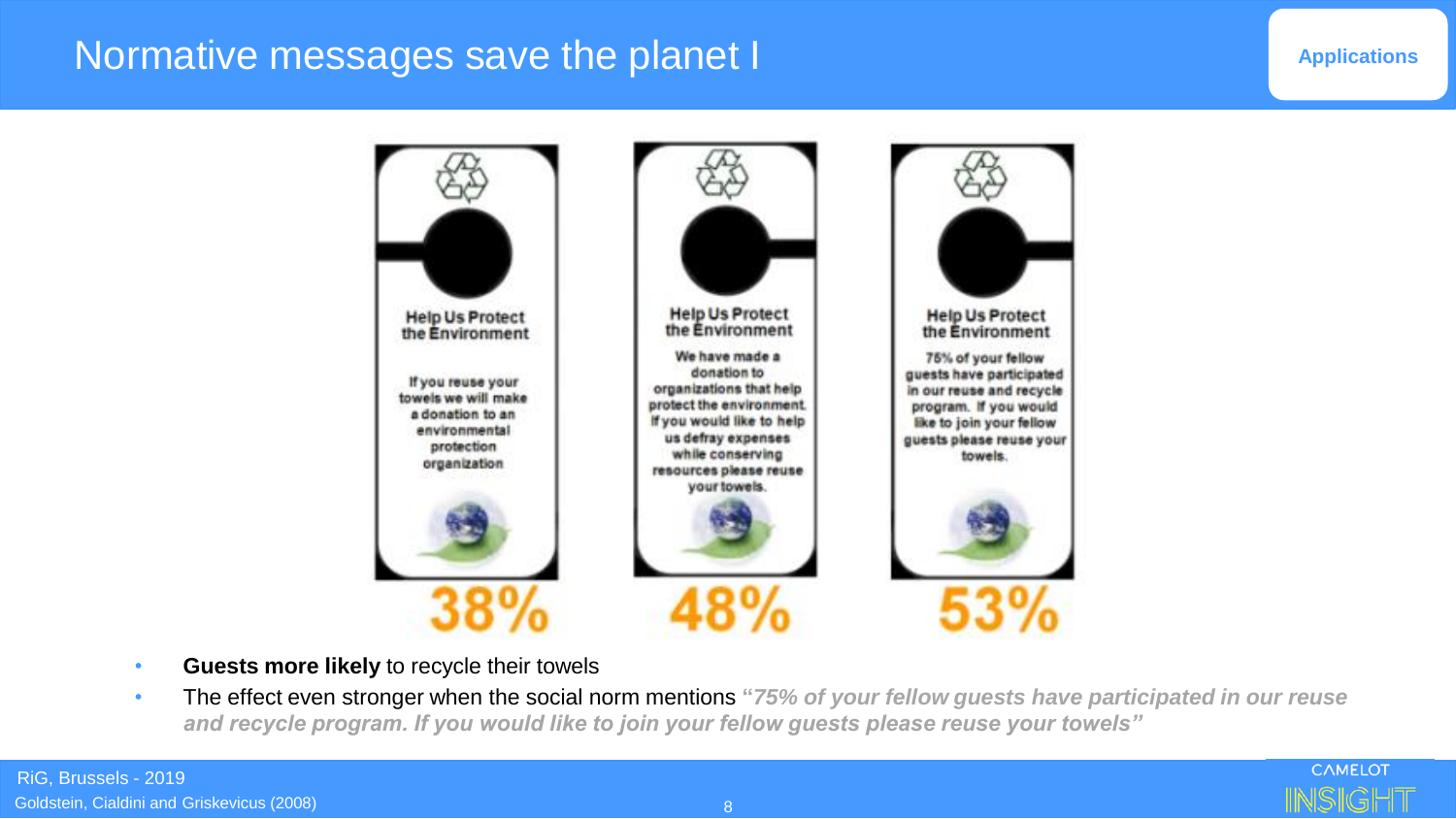#### Normative messages save the planet I

#### **Applications**



- **Guests more likely** to recycle their towels
- The effect even stronger when the social norm mentions **"***75% of your fellow guests have participated in our reuse and recycle program. If you would like to join your fellow guests please reuse your towels"*

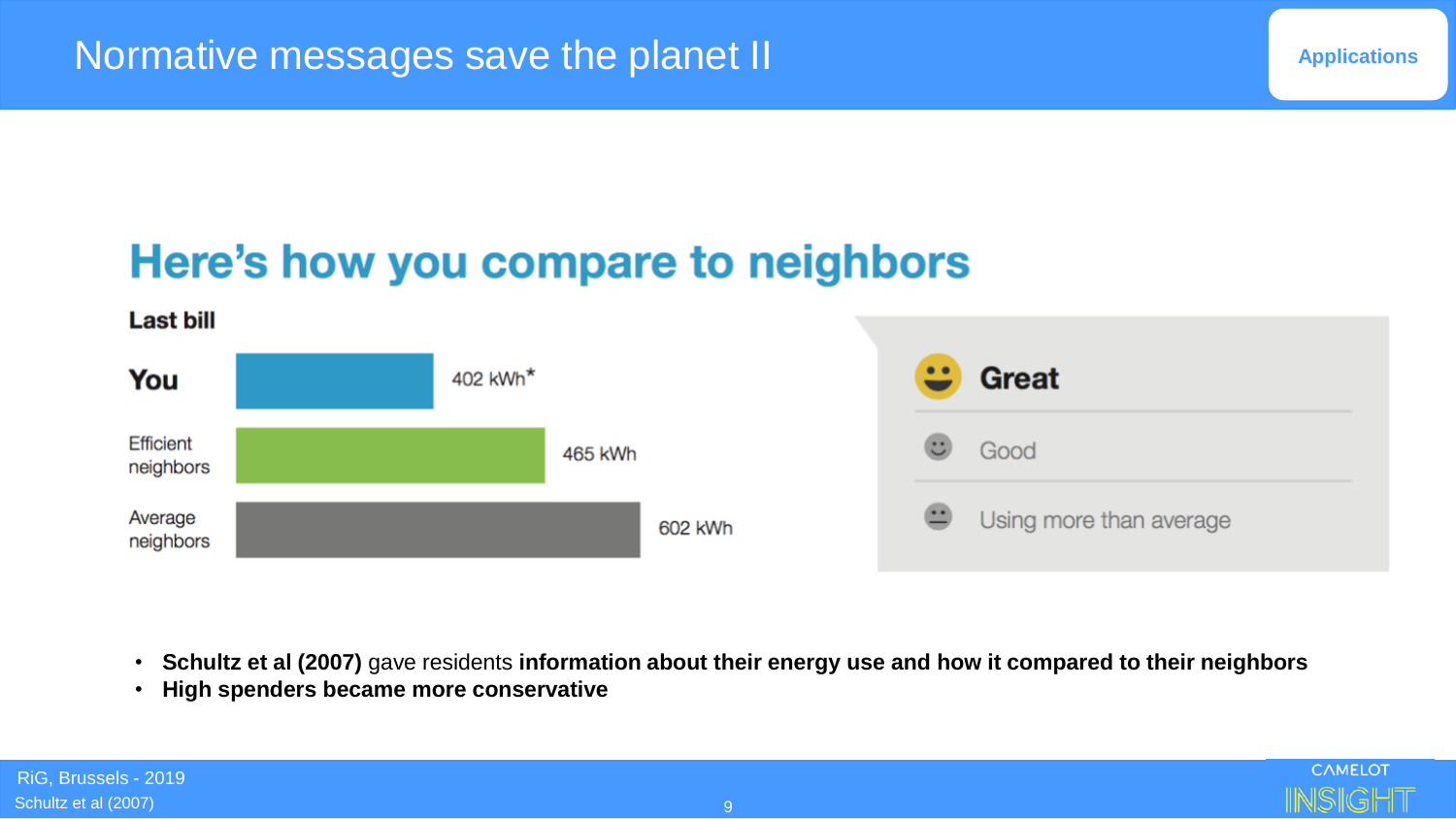## Here's how you compare to neighbors



- **Schultz et al (2007)** gave residents **information about their energy use and how it compared to their neighbors**
- **High spenders became more conservative**

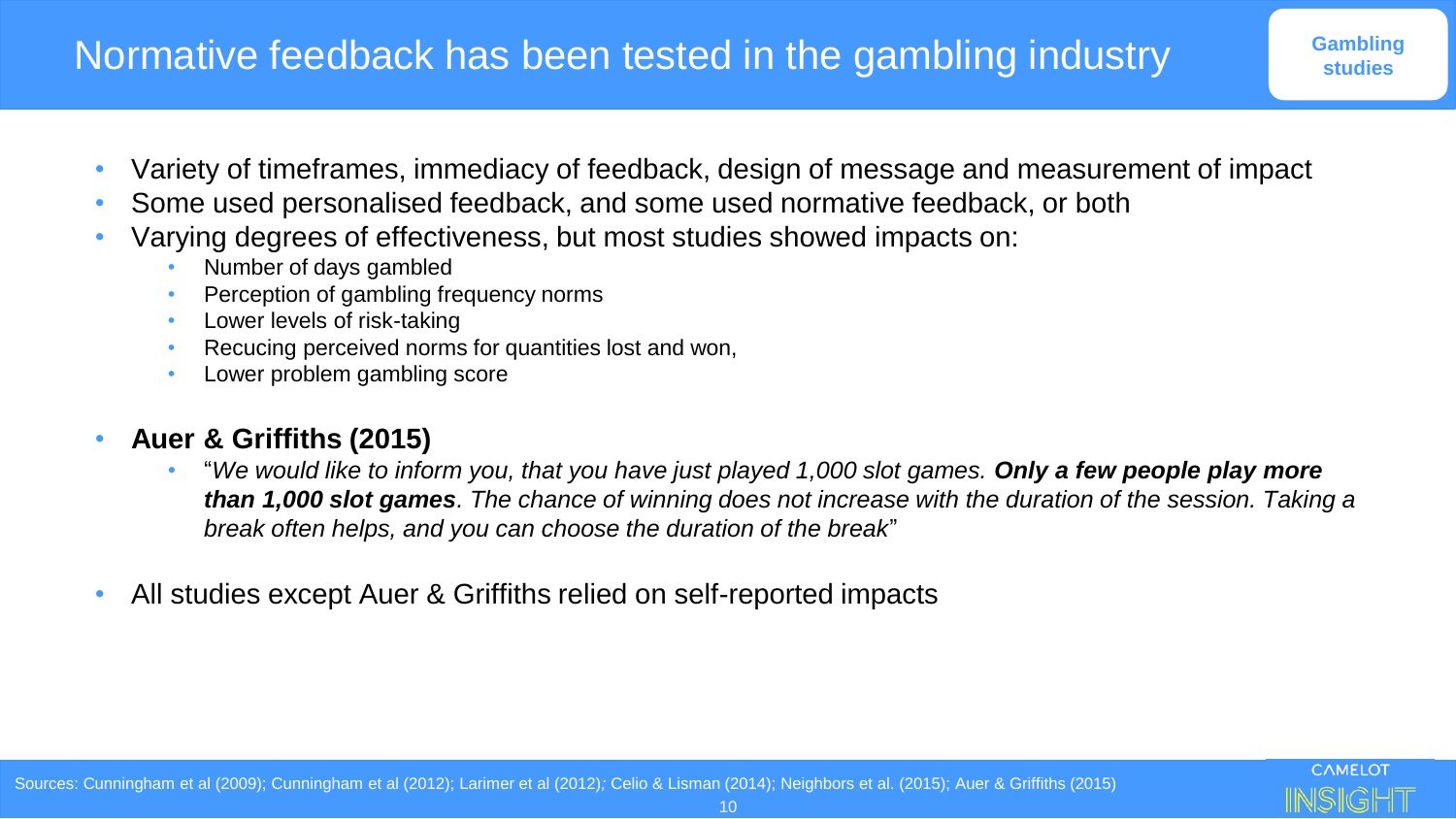- Variety of timeframes, immediacy of feedback, design of message and measurement of impact
- Some used personalised feedback, and some used normative feedback, or both
- Varying degrees of effectiveness, but most studies showed impacts on:
	- Number of days gambled
	- Perception of gambling frequency norms
	- Lower levels of risk-taking
	- Recucing perceived norms for quantities lost and won,
	- Lower problem gambling score

#### • **Auer & Griffiths (2015)**

- "*We would like to inform you, that you have just played 1,000 slot games. Only a few people play more than 1,000 slot games. The chance of winning does not increase with the duration of the session. Taking a break often helps, and you can choose the duration of the break*"
- All studies except Auer & Griffiths relied on self-reported impacts

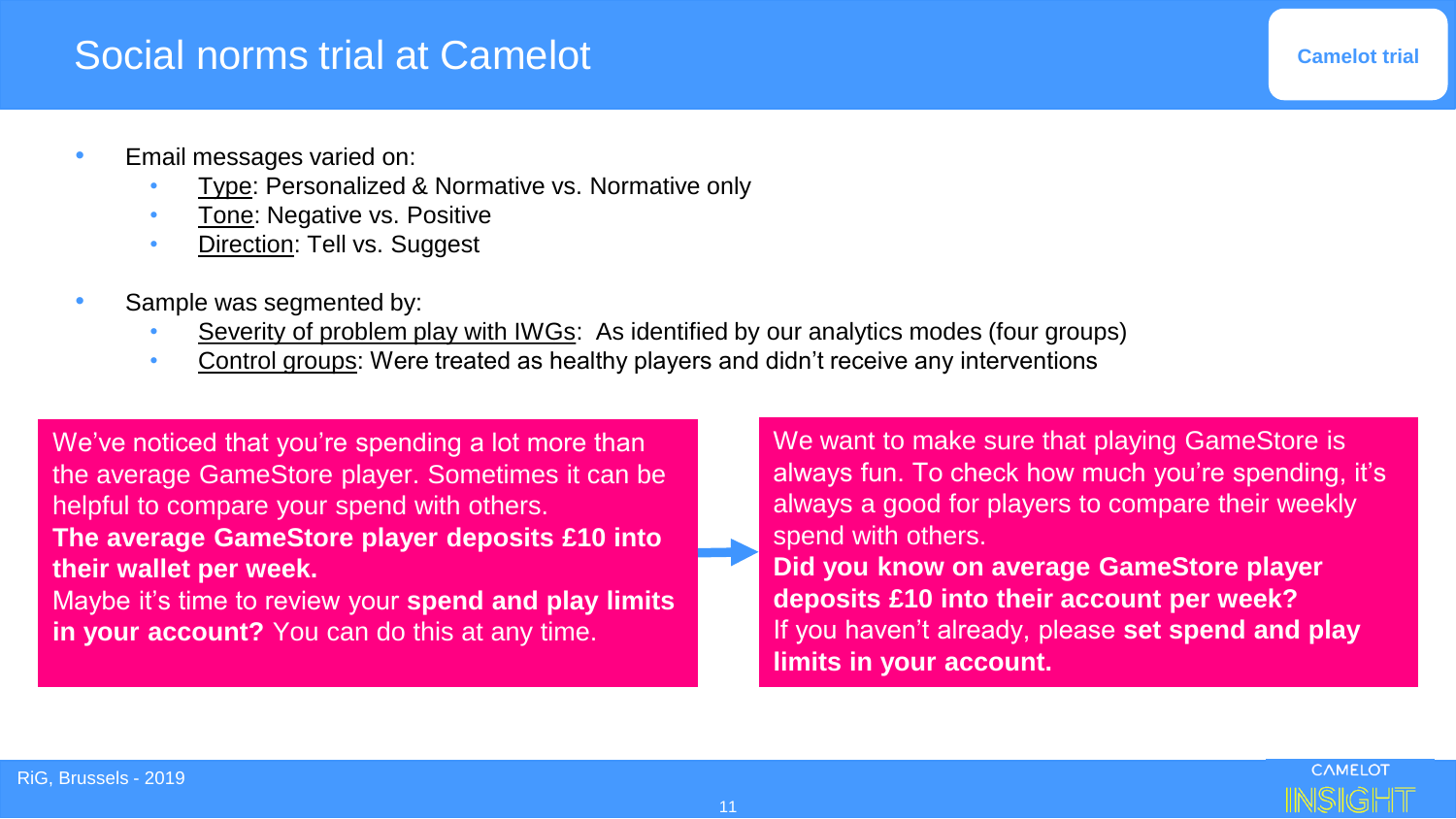#### Social norms trial at Camelot

**Camelot trial**

- Email messages varied on:
	- Type: Personalized & Normative vs. Normative only
	- Tone: Negative vs. Positive
	- **Direction: Tell vs. Suggest**
- Sample was segmented by:
	- Severity of problem play with IWGs: As identified by our analytics modes (four groups)
	- Control groups: Were treated as healthy players and didn't receive any interventions

We've noticed that you're spending a lot more than the average GameStore player. Sometimes it can be helpful to compare your spend with others. **The average GameStore player deposits £10 into their wallet per week.**

Maybe it's time to review your **spend and play limits in your account?** You can do this at any time.

We want to make sure that playing GameStore is always fun. To check how much you're spending, it's always a good for players to compare their weekly spend with others. **Did you know on average GameStore player deposits £10 into their account per week?** If you haven't already, please **set spend and play limits in your account.**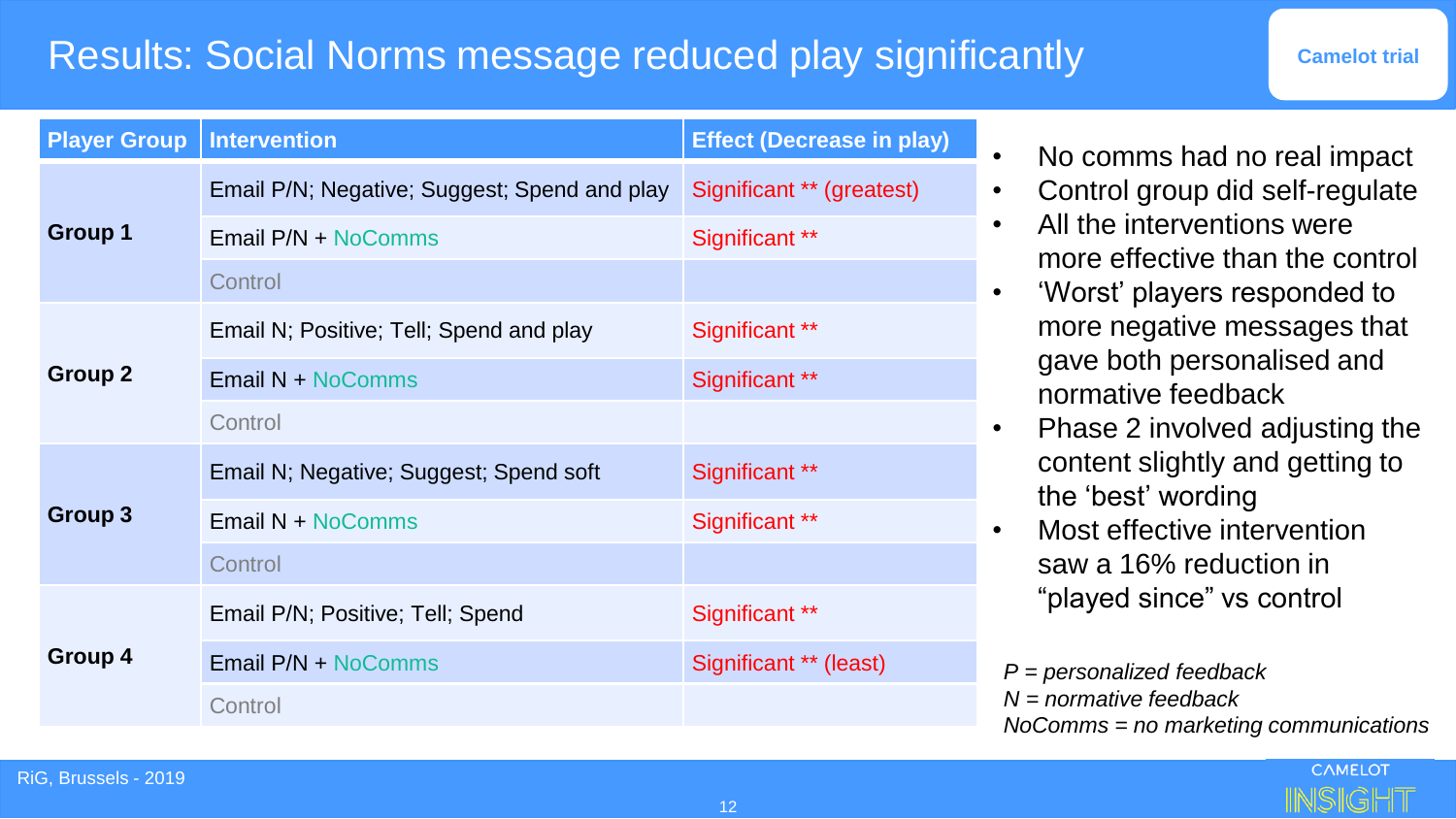### Results: Social Norms message reduced play significantly

| <b>Camelot trial</b> |  |  |
|----------------------|--|--|
|                      |  |  |

| <b>Player Group</b> | <b>Intervention</b>                          | <b>Effect (Decrease in play)</b> |
|---------------------|----------------------------------------------|----------------------------------|
| Group 1             | Email P/N; Negative; Suggest; Spend and play | Significant ** (greatest)        |
|                     | Email P/N + NoComms                          | Significant **                   |
|                     | Control                                      |                                  |
| Group 2             | Email N; Positive; Tell; Spend and play      | Significant **                   |
|                     | <b>Email N + NoComms</b>                     | Significant **                   |
|                     | Control                                      |                                  |
| Group 3             | Email N; Negative; Suggest; Spend soft       | Significant **                   |
|                     | Email N + NoComms                            | Significant **                   |
|                     | Control                                      |                                  |
| Group 4             | Email P/N; Positive; Tell; Spend             | Significant **                   |
|                     | Email P/N + NoComms                          | Significant ** (least)           |
|                     | Control                                      |                                  |

- No comms had no real impact
- Control group did self-regulate
- All the interventions were more effective than the control
- 'Worst' players responded to more negative messages that gave both personalised and normative feedback
- Phase 2 involved adjusting the content slightly and getting to the 'best' wording
- Most effective intervention saw a 16% reduction in "played since" vs control

*P = personalized feedback N = normative feedback NoComms = no marketing communications*